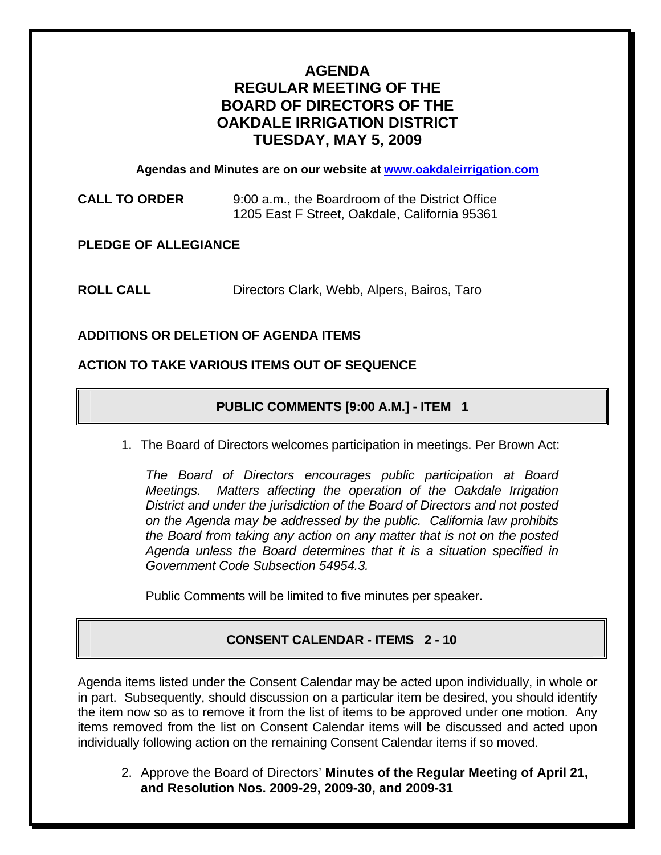# **AGENDA REGULAR MEETING OF THE BOARD OF DIRECTORS OF THE OAKDALE IRRIGATION DISTRICT TUESDAY, MAY 5, 2009**

**Agendas and Minutes are on our website at [www.oakdaleirrigation.com](http://www.oakdaleirrigation.com/)**

**CALL TO ORDER** 9:00 a.m., the Boardroom of the District Office 1205 East F Street, Oakdale, California 95361

**PLEDGE OF ALLEGIANCE** 

**ROLL CALL** Directors Clark, Webb, Alpers, Bairos, Taro

## **ADDITIONS OR DELETION OF AGENDA ITEMS**

### **ACTION TO TAKE VARIOUS ITEMS OUT OF SEQUENCE**

## **PUBLIC COMMENTS [9:00 A.M.] - ITEM 1**

1. The Board of Directors welcomes participation in meetings. Per Brown Act:

*The Board of Directors encourages public participation at Board Meetings. Matters affecting the operation of the Oakdale Irrigation District and under the jurisdiction of the Board of Directors and not posted on the Agenda may be addressed by the public. California law prohibits the Board from taking any action on any matter that is not on the posted Agenda unless the Board determines that it is a situation specified in Government Code Subsection 54954.3.*

Public Comments will be limited to five minutes per speaker.

## **CONSENT CALENDAR - ITEMS 2 - 10**

Agenda items listed under the Consent Calendar may be acted upon individually, in whole or in part. Subsequently, should discussion on a particular item be desired, you should identify the item now so as to remove it from the list of items to be approved under one motion. Any items removed from the list on Consent Calendar items will be discussed and acted upon individually following action on the remaining Consent Calendar items if so moved.

2. Approve the Board of Directors' **Minutes of the Regular Meeting of April 21, and Resolution Nos. 2009-29, 2009-30, and 2009-31**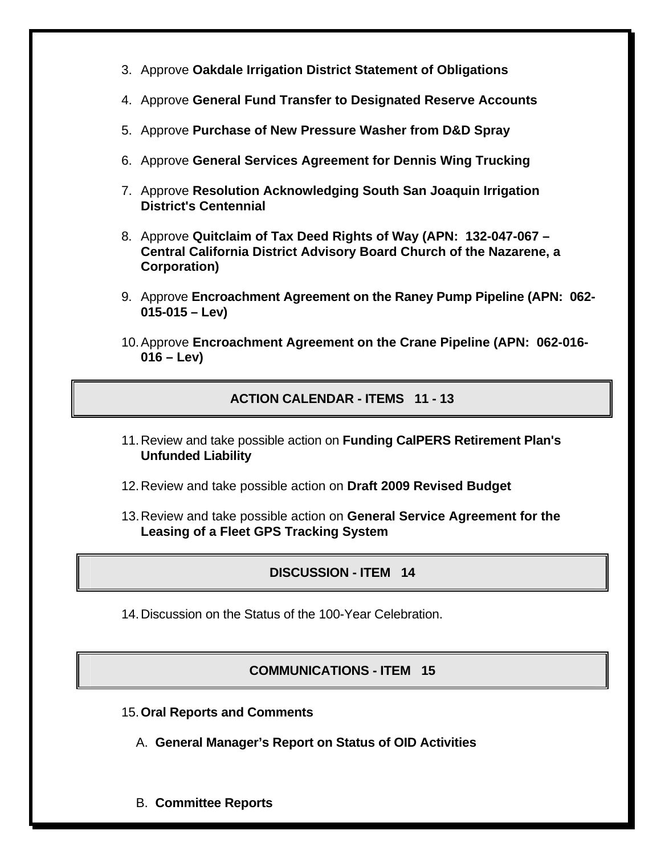- 3. Approve **Oakdale Irrigation District Statement of Obligations**
- 4. Approve **General Fund Transfer to Designated Reserve Accounts**
- 5. Approve **Purchase of New Pressure Washer from D&D Spray**
- 6. Approve **General Services Agreement for Dennis Wing Trucking**
- 7. Approve **Resolution Acknowledging South San Joaquin Irrigation District's Centennial**
- 8. Approve **Quitclaim of Tax Deed Rights of Way (APN: 132-047-067 Central California District Advisory Board Church of the Nazarene, a Corporation)**
- 9. Approve **Encroachment Agreement on the Raney Pump Pipeline (APN: 062- 015-015 – Lev)**
- 10. Approve **Encroachment Agreement on the Crane Pipeline (APN: 062-016- 016 – Lev)**

## **ACTION CALENDAR - ITEMS 11 - 13**

- 11. Review and take possible action on **Funding CalPERS Retirement Plan's Unfunded Liability**
- 12. Review and take possible action on **Draft 2009 Revised Budget**
- 13. Review and take possible action on **General Service Agreement for the Leasing of a Fleet GPS Tracking System**

# **DISCUSSION - ITEM 14**

14. Discussion on the Status of the 100-Year Celebration.

## **COMMUNICATIONS - ITEM 15**

- 15.**Oral Reports and Comments**
	- A. **General Manager's Report on Status of OID Activities**
	- B. **Committee Reports**